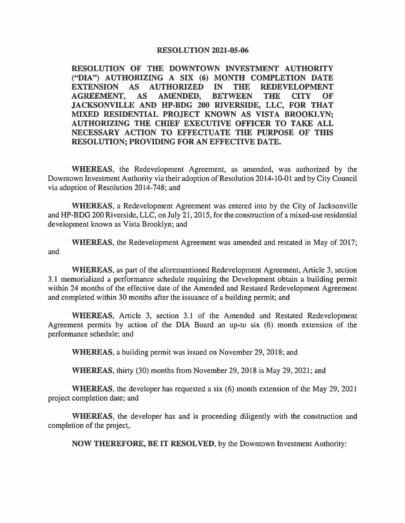## **RESOLUTION 2021-05-06**

**RESOLUTION OF THE DOWNTOWN INVESTMENT AUTHORITY ("DIA") AUTHORIZING A SIX (6) MONTH COMPLETION DATE EXTENSION AS AUTHORIZED IN THE REDEVELOPMENT AGREEMENT, AS AMENDED, BETWEEN THE CITY OF JACKSONVILLE AND HP-BOG 200 RIVERSIDE, LLC, FOR THAT MIXED RESIDENTIAL PROJECT KNOWN AS VISTA BROOKLYN; AUTHORIZING THE CHIEF EXECUTIVE OFFICER TO TAKE ALL NECESSARY ACTION TO EFFECTUATE THE PURPOSE OF THIS RESOLUTION; PROVIDING FOR AN EFFECTIVE DATE.** 

**WHEREAS,** the Redevelopment Agreement, as amended, was authorized by the Downtown Investment Authority via their adoption of Resolution 2014-10-01 and by City Council via adoption of Resolution 2014-748; and

**WHEREAS,** a Redevelopment Agreement was entered into by the City of Jacksonville and HP-BOG 200 Riverside, LLC, on July 21, 2015, for the construction of a mixed-use residential development known as Vista Brooklyn; and

**WHEREAS,** the Redevelopment Agreement was amended and restated in May of 2017; and

**WHEREAS,** as part of the aforementioned Redevelopment Agreement, Article 3, section 3.1 memorialized a performance schedule requiring the Development obtain a building permit within 24 months of the effective date of the Amended and Restated Redevelopment Agreement and completed within 30 months after the issuance of a building permit; and

**WHEREAS,** Article 3, section 3.1 of the Amended and Restated Redevelopment Agreement permits by action of the DIA Board an up-to six (6) month extension of the performance schedule; and

**WHEREAS,** a building permit was issued on November 29, 2018; and

**WHEREAS,** thirty (30) months from November 29, 2018 is May 29, 2021; and

**WHEREAS,** the developer has requested a six (6) month extension of the May 29, 2021 project completion date; and

**WHEREAS,** the developer has and is proceeding diligently with the construction and completion of the project,

**NOW THEREFORE, BE IT RESOLVED,** by the Downtown Investment Authority: